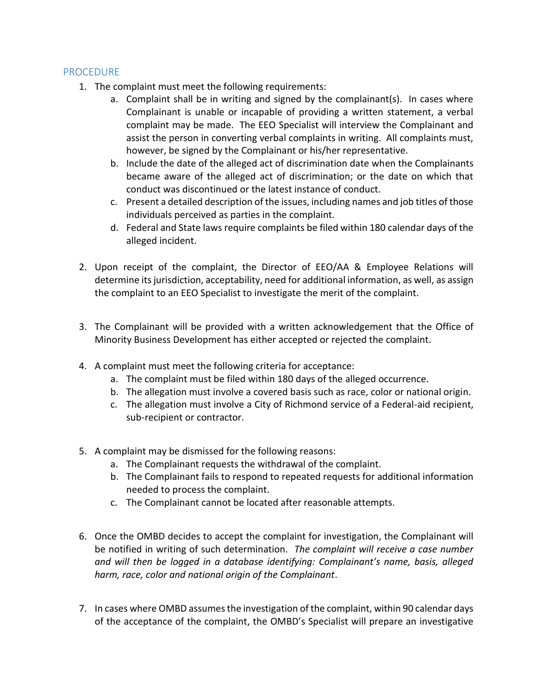## PROCEDURE

- 1. The complaint must meet the following requirements:
	- a. Complaint shall be in writing and signed by the complainant(s). In cases where Complainant is unable or incapable of providing a written statement, a verbal complaint may be made. The EEO Specialist will interview the Complainant and assist the person in converting verbal complaints in writing. All complaints must, however, be signed by the Complainant or his/her representative.
	- b. Include the date of the alleged act of discrimination date when the Complainants became aware of the alleged act of discrimination; or the date on which that conduct was discontinued or the latest instance of conduct.
	- c. Present a detailed description of the issues, including names and job titles of those individuals perceived as parties in the complaint.
	- d. Federal and State laws require complaints be filed within 180 calendar days of the alleged incident.
- 2. Upon receipt of the complaint, the Director of EEO/AA & Employee Relations will determine its jurisdiction, acceptability, need for additional information, as well, as assign the complaint to an EEO Specialist to investigate the merit of the complaint.
- 3. The Complainant will be provided with a written acknowledgement that the Office of Minority Business Development has either accepted or rejected the complaint.
- 4. A complaint must meet the following criteria for acceptance:
	- a. The complaint must be filed within 180 days of the alleged occurrence.
	- b. The allegation must involve a covered basis such as race, color or national origin.
	- c. The allegation must involve a City of Richmond service of a Federal-aid recipient, sub-recipient or contractor.
- 5. A complaint may be dismissed for the following reasons:
	- a. The Complainant requests the withdrawal of the complaint.
	- b. The Complainant fails to respond to repeated requests for additional information needed to process the complaint.
	- c. The Complainant cannot be located after reasonable attempts.
- 6. Once the OMBD decides to accept the complaint for investigation, the Complainant will be notified in writing of such determination. *The complaint will receive a case number and will then be logged in a database identifying: Complainant's name, basis, alleged harm, race, color and national origin of the Complainant*.
- 7. In cases where OMBD assumes the investigation of the complaint, within 90 calendar days of the acceptance of the complaint, the OMBD's Specialist will prepare an investigative